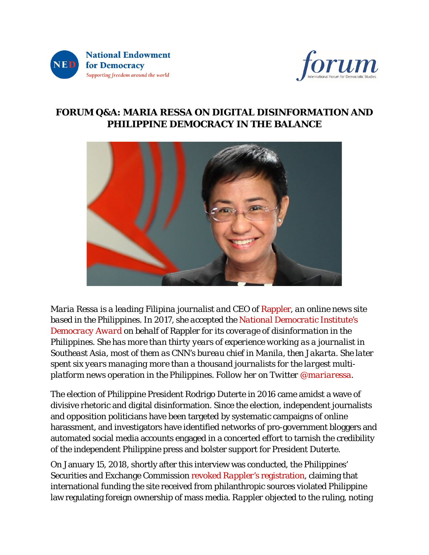



# **FORUM Q&A: MARIA RESSA ON DIGITAL DISINFORMATION AND PHILIPPINE DEMOCRACY IN THE BALANCE**



*[Maria](https://www.rappler.com/authorprofile/maria-ressa) Ressa is a leading Filipina journalist and CEO of* [Rappler](https://www.rappler.com/)*, an online news site based in the Philippines. In 2017, she accepted the National [Democratic](https://www.ndi.org/our-stories/2017-democracy-dinner-explores-global-threat-disinformation) Institute's [Democracy](https://www.ndi.org/our-stories/2017-democracy-dinner-explores-global-threat-disinformation) Award on behalf of* Rappler *for its coverage of disinformation in the Philippines. She has more than thirty years of experience working as a journalist in Southeast Asia, most of them as CNN's bureau chief in Manila, then Jakarta. She later spent six years managing more than a thousand journalists for the largest multiplatform news operation in the Philippines. Follow her on Twitter [@mariaressa.](https://twitter.com/mariaressa)*

The election of Philippine President Rodrigo Duterte in 2016 came amidst a wave of divisive rhetoric and digital disinformation. Since the election, independent journalists and opposition politicians have been targeted by systematic campaigns of online harassment, and investigators have identified networks of pro-government bloggers and automated social media accounts engaged in a concerted effort to tarnish the credibility of the independent Philippine press and bolster support for President Duterte.

On January 15, 2018, shortly after this interview was conducted, the Philippines' Securities and Exchange Commission revoked *Rappler's* [registration,](https://www.rappler.com/nation/193687-rappler-registration-revoked) claiming that international funding the site received from philanthropic sources violated Philippine law regulating foreign ownership of mass media. *Rappler* objected to the ruling, noting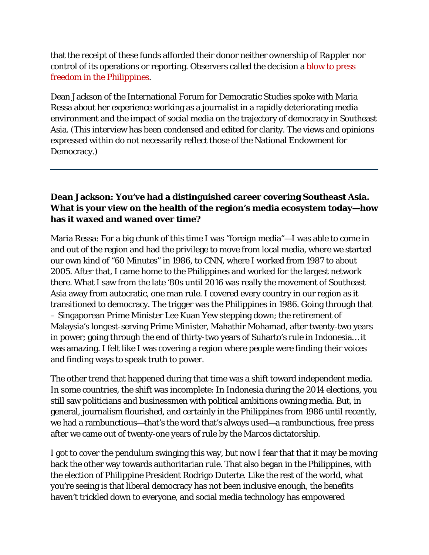that the receipt of these funds afforded their donor neither ownership of *Rappler* nor control of its operations or reporting. Observers called the decision a blow to [press](http://www.bbc.com/news/world-asia-42713897) freedom in the [Philippines.](http://www.bbc.com/news/world-asia-42713897)

Dean Jackson of the International Forum for Democratic Studies spoke with Maria Ressa about her experience working as a journalist in a rapidly deteriorating media environment and the impact of social media on the trajectory of democracy in Southeast Asia. (This interview has been condensed and edited for clarity. The views and opinions expressed within do not necessarily reflect those of the National Endowment for Democracy.)

### **Dean Jackson: You've had a distinguished career covering Southeast Asia. What is your view on the health of the region's media ecosystem today—how has it waxed and waned over time?**

Maria Ressa: For a big chunk of this time I was "foreign media"—I was able to come in and out of the region and had the privilege to move from local media, where we started our own kind of "60 Minutes" in 1986, to CNN, where I worked from 1987 to about 2005. After that, I came home to the Philippines and worked for the largest network there. What I saw from the late '80s until 2016 was really the movement of Southeast Asia away from autocratic, one man rule. I covered every country in our region as it transitioned to democracy. The trigger was the Philippines in 1986. Going through that – Singaporean Prime Minister Lee Kuan Yew stepping down; the retirement of Malaysia's longest-serving Prime Minister, Mahathir Mohamad, after twenty-two years in power; going through the end of thirty-two years of Suharto's rule in Indonesia… it was amazing. I felt like I was covering a region where people were finding their voices and finding ways to speak truth to power.

The other trend that happened during that time was a shift toward independent media. In some countries, the shift was incomplete: In Indonesia during the 2014 elections, you still saw politicians and businessmen with political ambitions owning media. But, in general, journalism flourished, and certainly in the Philippines from 1986 until recently, we had a rambunctious—that's the word that's always used—a rambunctious, free press after we came out of twenty-one years of rule by the Marcos dictatorship.

I got to cover the pendulum swinging this way, but now I fear that that it may be moving back the other way towards authoritarian rule. That also began in the Philippines, with the election of Philippine President Rodrigo Duterte. Like the rest of the world, what you're seeing is that liberal democracy has not been inclusive enough, the benefits haven't trickled down to everyone, and social media technology has empowered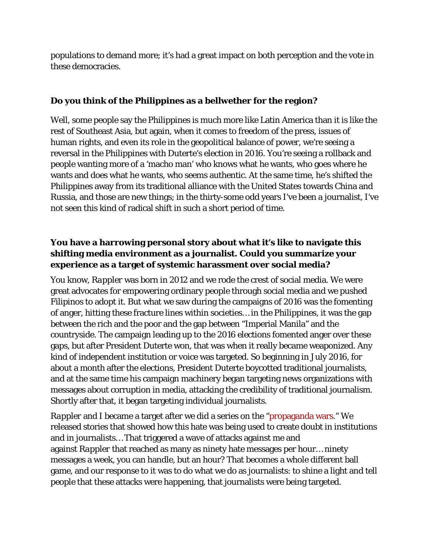populations to demand more; it's had a great impact on both perception and the vote in these democracies.

#### **Do you think of the Philippines as a bellwether for the region?**

Well, some people say the Philippines is much more like Latin America than it is like the rest of Southeast Asia, but again, when it comes to freedom of the press, issues of human rights, and even its role in the geopolitical balance of power, we're seeing a reversal in the Philippines with Duterte's election in 2016. You're seeing a rollback and people wanting more of a 'macho man' who knows what he wants, who goes where he wants and does what he wants, who seems authentic. At the same time, he's shifted the Philippines away from its traditional alliance with the United States towards China and Russia, and those are new things; in the thirty-some odd years I've been a journalist, I've not seen this kind of radical shift in such a short period of time.

#### **You have a harrowing personal story about what it's like to navigate this shifting media environment as a journalist. Could you summarize your experience as a target of systemic harassment over social media?**

You know, *Rappler* was born in 2012 and we rode the crest of social media. We were great advocates for empowering ordinary people through social media and we pushed Filipinos to adopt it. But what we saw during the campaigns of 2016 was the fomenting of anger, hitting these fracture lines within societies… in the Philippines, it was the gap between the rich and the poor and the gap between "Imperial Manila" and the countryside. The campaign leading up to the 2016 elections fomented anger over these gaps, but after President Duterte won, that was when it really became weaponized. Any kind of independent institution or voice was targeted. So beginning in July 2016, for about a month after the elections, President Duterte boycotted traditional journalists, and at the same time his campaign machinery began targeting news organizations with messages about corruption in media, attacking the credibility of traditional journalism. Shortly after that, it began targeting individual journalists.

*Rappler* and I became a target after we did a series on the ["propaganda](https://www.rappler.com/nation/148007-propaganda-war-weaponizing-internet) wars." We released stories that showed how this hate was being used to create doubt in institutions and in journalists… That triggered a wave of attacks against me and against *Rappler* that reached as many as ninety hate messages per hour… ninety messages a week, you can handle, but an hour? That becomes a whole different ball game, and our response to it was to do what we do as journalists: to shine a light and tell people that these attacks were happening, that journalists were being targeted.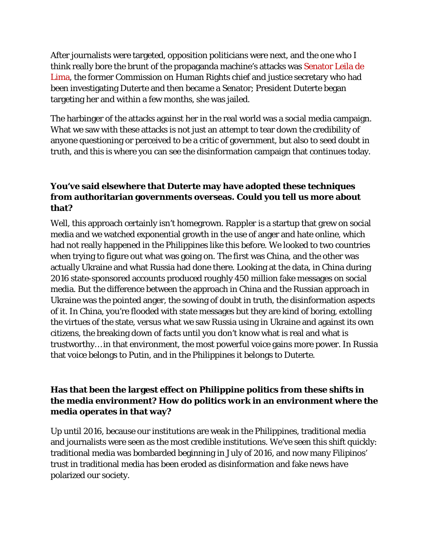After journalists were targeted, opposition politicians were next, and the one who I think really bore the brunt of the propaganda machine's attacks was [Senator](https://www.rappler.com/nation/172309-de-lima-life-in-jail-duterte) Leila de [Lima,](https://www.rappler.com/nation/172309-de-lima-life-in-jail-duterte) the former Commission on Human Rights chief and justice secretary who had been investigating Duterte and then became a Senator; President Duterte began targeting her and within a few months, she was jailed.

The harbinger of the attacks against her in the real world was a social media campaign. What we saw with these attacks is not just an attempt to tear down the credibility of anyone questioning or perceived to be a critic of government, but also to seed doubt in truth, and this is where you can see the disinformation campaign that continues today.

## **You've said elsewhere that Duterte may have adopted these techniques from authoritarian governments overseas. Could you tell us more about that?**

Well, this approach certainly isn't homegrown. *Rappler* is a startup that grew on social media and we watched exponential growth in the use of anger and hate online, which had not really happened in the Philippines like this before. We looked to two countries when trying to figure out what was going on. The first was China, and the other was actually Ukraine and what Russia had done there. Looking at the data, in China during 2016 state-sponsored accounts [produced](https://www.washingtonpost.com/news/monkey-cage/wp/2016/05/19/the-chinese-government-fakes-nearly-450-million-social-media-comments-a-year-this-is-why/?utm_term=.b5bff5557abb) roughly 450 million fake messages on social media. But the difference between the approach in China and the Russian approach in Ukraine was the pointed anger, the sowing of doubt in truth, the disinformation aspects of it. In China, you're flooded with state messages but they are kind of boring, extolling the virtues of the state, versus what we saw Russia using in Ukraine and against its own citizens, the breaking down of facts until you don't know what is real and what is trustworthy… in that environment, the most powerful voice gains more power. In Russia that voice belongs to Putin, and in the Philippines it belongs to Duterte.

## **Has that been the largest effect on Philippine politics from these shifts in the media environment? How do politics work in an environment where the media operates in that way?**

Up until 2016, because our institutions are weak in the Philippines, traditional media and journalists were seen as the most credible institutions. We've seen this shift quickly: traditional media was bombarded beginning in July of 2016, and now many Filipinos' trust in traditional media has been eroded as disinformation and fake news have polarized our society.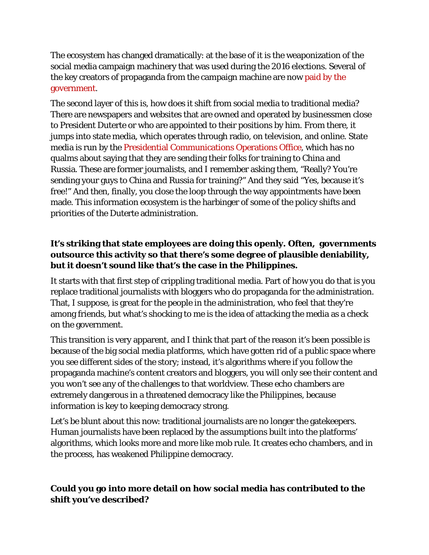The ecosystem has changed dramatically: at the base of it is the weaponization of the social media campaign machinery that was used during the 2016 elections. Several of the key creators of propaganda from the campaign machine are now [paid](https://www.rappler.com/nation/169371-mocha-uson-presidential-communications-operations-office-assistant-secretary) by the [government.](https://www.rappler.com/nation/169371-mocha-uson-presidential-communications-operations-office-assistant-secretary)

The second layer of this is, how does it shift from social media to traditional media? There are newspapers and websites that are owned and operated by businessmen close to President Duterte or who are appointed to their positions by him. From there, it jumps into state media, which operates through radio, on television, and online. State media is run by the Presidential [Communications](https://www.rappler.com/newsbreak/iq/169642-fast-facts-presidential-communications-operations-office-pcoo) Operations Office, which has no qualms about saying that they are sending their folks for training to China and Russia. These are former journalists, and I remember asking them, "Really? You're sending your guys to China and Russia for training?" And they said "Yes, because it's free!" And then, finally, you close the loop through the way appointments have been made. This information ecosystem is the harbinger of some of the policy shifts and priorities of the Duterte administration.

## **It's striking that state employees are doing this openly. Often, governments outsource this activity so that there's some degree of plausible deniability, but it doesn't sound like that's the case in the Philippines.**

It starts with that first step of crippling traditional media. Part of how you do that is you replace traditional journalists with bloggers who do propaganda for the administration. That, I suppose, is great for the people in the administration, who feel that they're among friends, but what's shocking to me is the idea of attacking the media as a check on the government.

This transition is very apparent, and I think that part of the reason it's been possible is because of the big social media platforms, which have gotten rid of a public space where you see different sides of the story; instead, it's algorithms where if you follow the propaganda machine's content creators and bloggers, you will only see their content and you won't see any of the challenges to that worldview. These echo chambers are extremely dangerous in a threatened democracy like the Philippines, because information is key to keeping democracy strong.

Let's be blunt about this now: traditional journalists are no longer the gatekeepers. Human journalists have been replaced by the assumptions built into the platforms' algorithms, which looks more and more like mob rule. It creates echo chambers, and in the process, has weakened Philippine democracy.

# **Could you go into more detail on how social media has contributed to the shift you've described?**